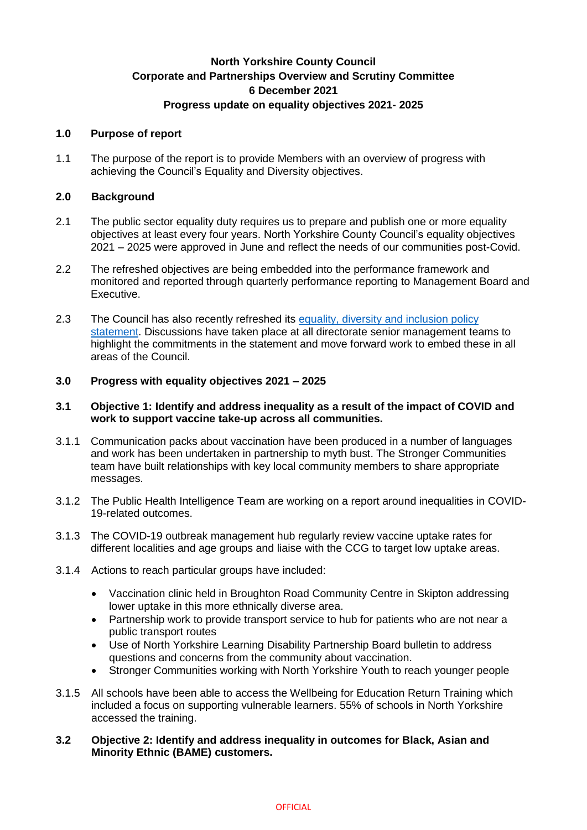# **North Yorkshire County Council Corporate and Partnerships Overview and Scrutiny Committee 6 December 2021 Progress update on equality objectives 2021- 2025**

#### **1.0 Purpose of report**

1.1 The purpose of the report is to provide Members with an overview of progress with achieving the Council's Equality and Diversity objectives.

### **2.0 Background**

- 2.1 The public sector equality duty requires us to prepare and publish one or more equality objectives at least every four years. North Yorkshire County Council's equality objectives 2021 – 2025 were approved in June and reflect the needs of our communities post-Covid.
- 2.2 The refreshed objectives are being embedded into the performance framework and monitored and reported through quarterly performance reporting to Management Board and Executive.
- 2.3 The Council has also recently refreshed its [equality, diversity and inclusion policy](https://www.northyorks.gov.uk/our-equality-diversity-and-inclusion-policy)  [statement.](https://www.northyorks.gov.uk/our-equality-diversity-and-inclusion-policy) Discussions have taken place at all directorate senior management teams to highlight the commitments in the statement and move forward work to embed these in all areas of the Council.

### **3.0 Progress with equality objectives 2021 – 2025**

### **3.1 Objective 1: Identify and address inequality as a result of the impact of COVID and work to support vaccine take-up across all communities.**

- 3.1.1 Communication packs about vaccination have been produced in a number of languages and work has been undertaken in partnership to myth bust. The Stronger Communities team have built relationships with key local community members to share appropriate messages.
- 3.1.2 The Public Health Intelligence Team are working on a report around inequalities in COVID-19-related outcomes.
- 3.1.3 The COVID-19 outbreak management hub regularly review vaccine uptake rates for different localities and age groups and liaise with the CCG to target low uptake areas.
- 3.1.4 Actions to reach particular groups have included:
	- Vaccination clinic held in Broughton Road Community Centre in Skipton addressing lower uptake in this more ethnically diverse area.
	- Partnership work to provide transport service to hub for patients who are not near a public transport routes
	- Use of North Yorkshire Learning Disability Partnership Board bulletin to address questions and concerns from the community about vaccination.
	- Stronger Communities working with North Yorkshire Youth to reach younger people
- 3.1.5 All schools have been able to access the Wellbeing for Education Return Training which included a focus on supporting vulnerable learners. 55% of schools in North Yorkshire accessed the training.

### **3.2 Objective 2: Identify and address inequality in outcomes for Black, Asian and Minority Ethnic (BAME) customers.**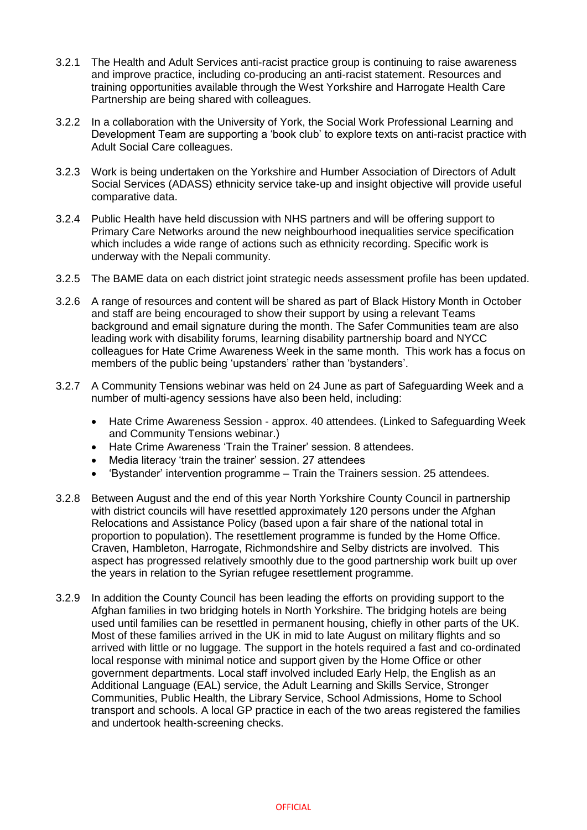- 3.2.1 The Health and Adult Services anti-racist practice group is continuing to raise awareness and improve practice, including co-producing an anti-racist statement. Resources and training opportunities available through the West Yorkshire and Harrogate Health Care Partnership are being shared with colleagues.
- 3.2.2 In a collaboration with the University of York, the Social Work Professional Learning and Development Team are supporting a 'book club' to explore texts on anti-racist practice with Adult Social Care colleagues.
- 3.2.3 Work is being undertaken on the Yorkshire and Humber Association of Directors of Adult Social Services (ADASS) ethnicity service take-up and insight objective will provide useful comparative data.
- 3.2.4 Public Health have held discussion with NHS partners and will be offering support to Primary Care Networks around the new neighbourhood inequalities service specification which includes a wide range of actions such as ethnicity recording. Specific work is underway with the Nepali community.
- 3.2.5 The BAME data on each district joint strategic needs assessment profile has been updated.
- 3.2.6 A range of resources and content will be shared as part of Black History Month in October and staff are being encouraged to show their support by using a relevant Teams background and email signature during the month. The Safer Communities team are also leading work with disability forums, learning disability partnership board and NYCC colleagues for Hate Crime Awareness Week in the same month. This work has a focus on members of the public being 'upstanders' rather than 'bystanders'.
- 3.2.7 A Community Tensions webinar was held on 24 June as part of Safeguarding Week and a number of multi-agency sessions have also been held, including:
	- Hate Crime Awareness Session approx. 40 attendees. (Linked to Safeguarding Week and Community Tensions webinar.)
	- Hate Crime Awareness 'Train the Trainer' session. 8 attendees.
	- Media literacy 'train the trainer' session. 27 attendees
	- 'Bystander' intervention programme Train the Trainers session. 25 attendees.
- 3.2.8 Between August and the end of this year North Yorkshire County Council in partnership with district councils will have resettled approximately 120 persons under the Afghan Relocations and Assistance Policy (based upon a fair share of the national total in proportion to population). The resettlement programme is funded by the Home Office. Craven, Hambleton, Harrogate, Richmondshire and Selby districts are involved. This aspect has progressed relatively smoothly due to the good partnership work built up over the years in relation to the Syrian refugee resettlement programme.
- 3.2.9 In addition the County Council has been leading the efforts on providing support to the Afghan families in two bridging hotels in North Yorkshire. The bridging hotels are being used until families can be resettled in permanent housing, chiefly in other parts of the UK. Most of these families arrived in the UK in mid to late August on military flights and so arrived with little or no luggage. The support in the hotels required a fast and co-ordinated local response with minimal notice and support given by the Home Office or other government departments. Local staff involved included Early Help, the English as an Additional Language (EAL) service, the Adult Learning and Skills Service, Stronger Communities, Public Health, the Library Service, School Admissions, Home to School transport and schools. A local GP practice in each of the two areas registered the families and undertook health-screening checks.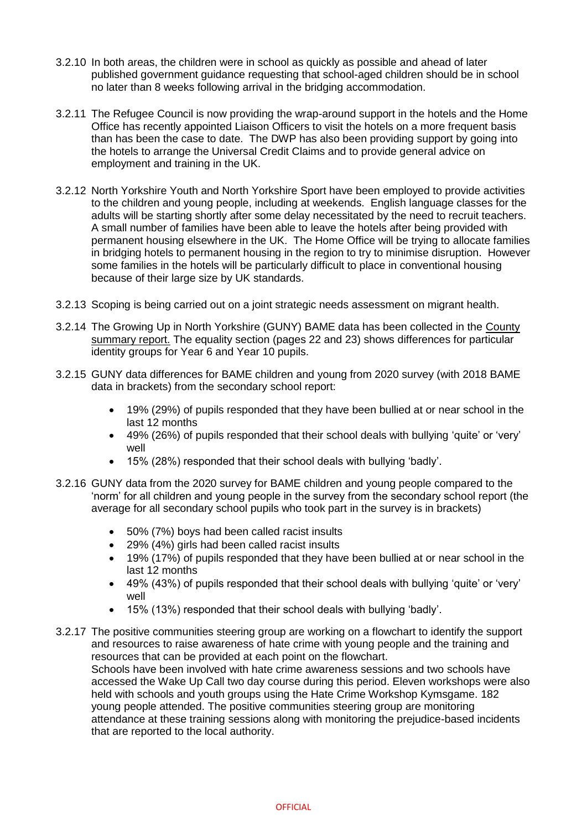- 3.2.10 In both areas, the children were in school as quickly as possible and ahead of later published government guidance requesting that school-aged children should be in school no later than 8 weeks following arrival in the bridging accommodation.
- 3.2.11 The Refugee Council is now providing the wrap-around support in the hotels and the Home Office has recently appointed Liaison Officers to visit the hotels on a more frequent basis than has been the case to date. The DWP has also been providing support by going into the hotels to arrange the Universal Credit Claims and to provide general advice on employment and training in the UK.
- 3.2.12 North Yorkshire Youth and North Yorkshire Sport have been employed to provide activities to the children and young people, including at weekends. English language classes for the adults will be starting shortly after some delay necessitated by the need to recruit teachers. A small number of families have been able to leave the hotels after being provided with permanent housing elsewhere in the UK. The Home Office will be trying to allocate families in bridging hotels to permanent housing in the region to try to minimise disruption. However some families in the hotels will be particularly difficult to place in conventional housing because of their large size by UK standards.
- 3.2.13 Scoping is being carried out on a joint strategic needs assessment on migrant health.
- 3.2.14 The Growing Up in North Yorkshire (GUNY) BAME data has been collected in the [County](http://healthyschoolsnorthyorks.org/wp-content/uploads/2021/09/NYork2020summary.pdf)  [summary report.](http://healthyschoolsnorthyorks.org/wp-content/uploads/2021/09/NYork2020summary.pdf) The equality section (pages 22 and 23) shows differences for particular identity groups for Year 6 and Year 10 pupils.
- 3.2.15 GUNY data differences for BAME children and young from 2020 survey (with 2018 BAME data in brackets) from the secondary school report:
	- 19% (29%) of pupils responded that they have been bullied at or near school in the last 12 months
	- 49% (26%) of pupils responded that their school deals with bullying 'quite' or 'very' well
	- 15% (28%) responded that their school deals with bullying 'badly'.
- 3.2.16 GUNY data from the 2020 survey for BAME children and young people compared to the 'norm' for all children and young people in the survey from the secondary school report (the average for all secondary school pupils who took part in the survey is in brackets)
	- 50% (7%) boys had been called racist insults
	- 29% (4%) girls had been called racist insults
	- 19% (17%) of pupils responded that they have been bullied at or near school in the last 12 months
	- 49% (43%) of pupils responded that their school deals with bullying 'quite' or 'very' well
	- 15% (13%) responded that their school deals with bullying 'badly'.
- 3.2.17 The positive communities steering group are working on a flowchart to identify the support and resources to raise awareness of hate crime with young people and the training and resources that can be provided at each point on the flowchart. Schools have been involved with hate crime awareness sessions and two schools have accessed the Wake Up Call two day course during this period. Eleven workshops were also held with schools and youth groups using the Hate Crime Workshop Kymsgame. 182 young people attended. The positive communities steering group are monitoring attendance at these training sessions along with monitoring the prejudice-based incidents that are reported to the local authority.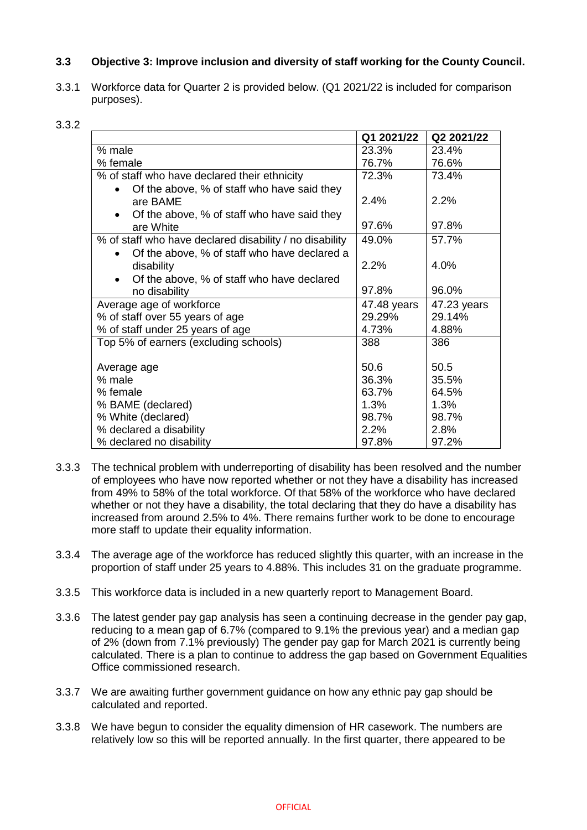# **3.3 Objective 3: Improve inclusion and diversity of staff working for the County Council.**

3.3.1 Workforce data for Quarter 2 is provided below. (Q1 2021/22 is included for comparison purposes).

#### 3.3.2

|                                                                                                          | Q1 2021/22  | Q2 2021/22  |
|----------------------------------------------------------------------------------------------------------|-------------|-------------|
| % male                                                                                                   | 23.3%       | 23.4%       |
| % female                                                                                                 | 76.7%       | 76.6%       |
| % of staff who have declared their ethnicity                                                             | 72.3%       | 73.4%       |
| Of the above, % of staff who have said they<br>are BAME<br>Of the above, % of staff who have said they   | 2.4%        | 2.2%        |
| are White                                                                                                | 97.6%       | 97.8%       |
| % of staff who have declared disability / no disability                                                  | 49.0%       | 57.7%       |
| Of the above, % of staff who have declared a<br>disability<br>Of the above, % of staff who have declared | 2.2%        | 4.0%        |
| no disability                                                                                            | 97.8%       | 96.0%       |
| Average age of workforce                                                                                 | 47.48 years | 47.23 years |
| % of staff over 55 years of age                                                                          | 29.29%      | 29.14%      |
| % of staff under 25 years of age                                                                         | 4.73%       | 4.88%       |
| Top 5% of earners (excluding schools)                                                                    | 388         | 386         |
| Average age                                                                                              | 50.6        | 50.5        |
| % male                                                                                                   | 36.3%       | 35.5%       |
| % female                                                                                                 | 63.7%       | 64.5%       |
| % BAME (declared)                                                                                        | 1.3%        | 1.3%        |
| % White (declared)                                                                                       | 98.7%       | 98.7%       |
| % declared a disability                                                                                  | 2.2%        | 2.8%        |
| % declared no disability                                                                                 | 97.8%       | 97.2%       |

- 3.3.3 The technical problem with underreporting of disability has been resolved and the number of employees who have now reported whether or not they have a disability has increased from 49% to 58% of the total workforce. Of that 58% of the workforce who have declared whether or not they have a disability, the total declaring that they do have a disability has increased from around 2.5% to 4%. There remains further work to be done to encourage more staff to update their equality information.
- 3.3.4 The average age of the workforce has reduced slightly this quarter, with an increase in the proportion of staff under 25 years to 4.88%. This includes 31 on the graduate programme.
- 3.3.5 This workforce data is included in a new quarterly report to Management Board.
- 3.3.6 The latest gender pay gap analysis has seen a continuing decrease in the gender pay gap, reducing to a mean gap of 6.7% (compared to 9.1% the previous year) and a median gap of 2% (down from 7.1% previously) The gender pay gap for March 2021 is currently being calculated. There is a plan to continue to address the gap based on Government Equalities Office commissioned research.
- 3.3.7 We are awaiting further government guidance on how any ethnic pay gap should be calculated and reported.
- 3.3.8 We have begun to consider the equality dimension of HR casework. The numbers are relatively low so this will be reported annually. In the first quarter, there appeared to be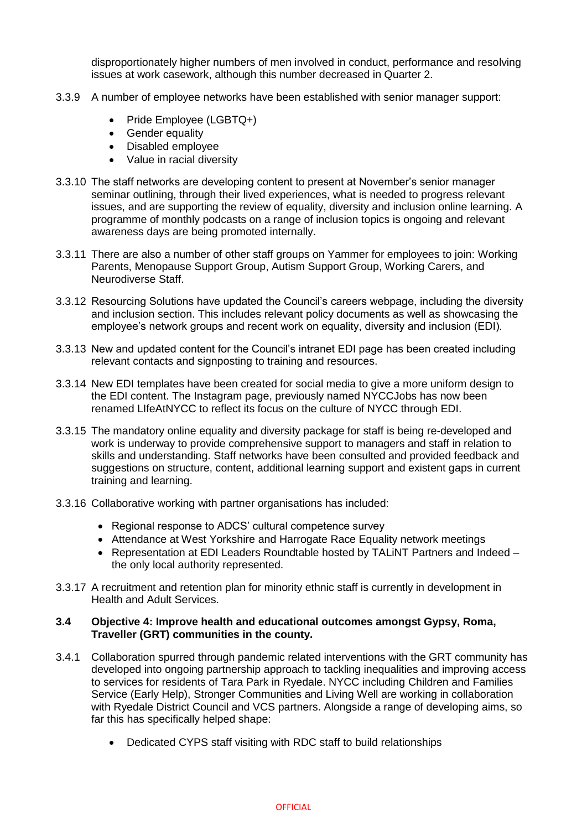disproportionately higher numbers of men involved in conduct, performance and resolving issues at work casework, although this number decreased in Quarter 2.

- 3.3.9 A number of employee networks have been established with senior manager support:
	- Pride Employee (LGBTQ+)
	- Gender equality
	- Disabled employee
	- Value in racial diversity
- 3.3.10 The staff networks are developing content to present at November's senior manager seminar outlining, through their lived experiences, what is needed to progress relevant issues, and are supporting the review of equality, diversity and inclusion online learning. A programme of monthly podcasts on a range of inclusion topics is ongoing and relevant awareness days are being promoted internally.
- 3.3.11 There are also a number of other staff groups on Yammer for employees to join: Working Parents, Menopause Support Group, Autism Support Group, Working Carers, and Neurodiverse Staff.
- 3.3.12 Resourcing Solutions have updated the Council's careers webpage, including the diversity and inclusion section. This includes relevant policy documents as well as showcasing the employee's network groups and recent work on equality, diversity and inclusion (EDI).
- 3.3.13 New and updated content for the Council's intranet EDI page has been created including relevant contacts and signposting to training and resources.
- 3.3.14 New EDI templates have been created for social media to give a more uniform design to the EDI content. The Instagram page, previously named NYCCJobs has now been renamed LIfeAtNYCC to reflect its focus on the culture of NYCC through EDI.
- 3.3.15 The mandatory online equality and diversity package for staff is being re-developed and work is underway to provide comprehensive support to managers and staff in relation to skills and understanding. Staff networks have been consulted and provided feedback and suggestions on structure, content, additional learning support and existent gaps in current training and learning.
- 3.3.16 Collaborative working with partner organisations has included:
	- Regional response to ADCS' cultural competence survey
	- Attendance at West Yorkshire and Harrogate Race Equality network meetings
	- Representation at EDI Leaders Roundtable hosted by TALiNT Partners and Indeed the only local authority represented.
- 3.3.17 A recruitment and retention plan for minority ethnic staff is currently in development in Health and Adult Services.

### **3.4 Objective 4: Improve health and educational outcomes amongst Gypsy, Roma, Traveller (GRT) communities in the county.**

- 3.4.1 Collaboration spurred through pandemic related interventions with the GRT community has developed into ongoing partnership approach to tackling inequalities and improving access to services for residents of Tara Park in Ryedale. NYCC including Children and Families Service (Early Help), Stronger Communities and Living Well are working in collaboration with Ryedale District Council and VCS partners. Alongside a range of developing aims, so far this has specifically helped shape:
	- Dedicated CYPS staff visiting with RDC staff to build relationships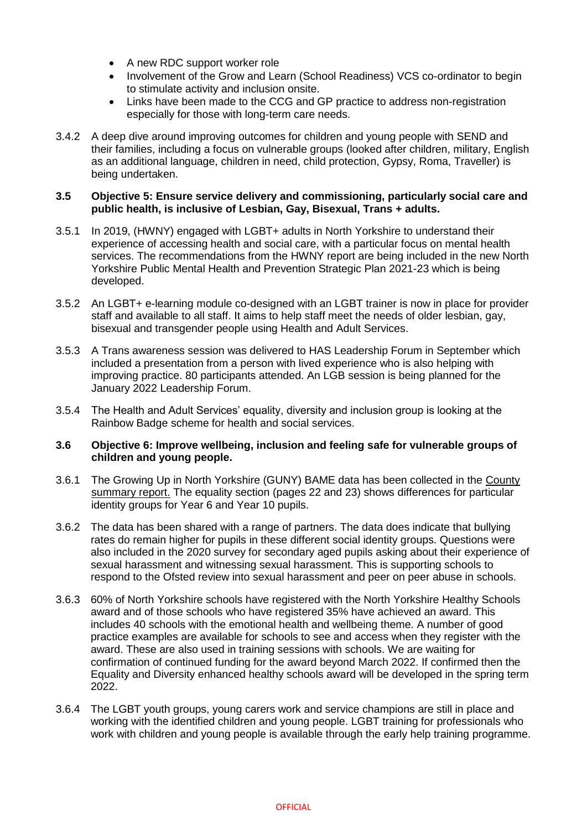- A new RDC support worker role
- Involvement of the Grow and Learn (School Readiness) VCS co-ordinator to begin to stimulate activity and inclusion onsite.
- Links have been made to the CCG and GP practice to address non-registration especially for those with long-term care needs.
- 3.4.2 A deep dive around improving outcomes for children and young people with SEND and their families, including a focus on vulnerable groups (looked after children, military, English as an additional language, children in need, child protection, Gypsy, Roma, Traveller) is being undertaken.

#### **3.5 Objective 5: Ensure service delivery and commissioning, particularly social care and public health, is inclusive of Lesbian, Gay, Bisexual, Trans + adults.**

- 3.5.1 In 2019, (HWNY) engaged with LGBT+ adults in North Yorkshire to understand their experience of accessing health and social care, with a particular focus on mental health services. The recommendations from the HWNY report are being included in the new North Yorkshire Public Mental Health and Prevention Strategic Plan 2021-23 which is being developed.
- 3.5.2 An LGBT+ e-learning module co-designed with an LGBT trainer is now in place for provider staff and available to all staff. It aims to help staff meet the needs of older lesbian, gay, bisexual and transgender people using Health and Adult Services.
- 3.5.3 A Trans awareness session was delivered to HAS Leadership Forum in September which included a presentation from a person with lived experience who is also helping with improving practice. 80 participants attended. An LGB session is being planned for the January 2022 Leadership Forum.
- 3.5.4 The Health and Adult Services' equality, diversity and inclusion group is looking at the Rainbow Badge scheme for health and social services.

## **3.6 Objective 6: Improve wellbeing, inclusion and feeling safe for vulnerable groups of children and young people.**

- 3.6.1 The Growing Up in North Yorkshire (GUNY) BAME data has been collected in the [County](http://healthyschoolsnorthyorks.org/wp-content/uploads/2021/09/NYork2020summary.pdf)  [summary report.](http://healthyschoolsnorthyorks.org/wp-content/uploads/2021/09/NYork2020summary.pdf) The equality section (pages 22 and 23) shows differences for particular identity groups for Year 6 and Year 10 pupils.
- 3.6.2 The data has been shared with a range of partners. The data does indicate that bullying rates do remain higher for pupils in these different social identity groups. Questions were also included in the 2020 survey for secondary aged pupils asking about their experience of sexual harassment and witnessing sexual harassment. This is supporting schools to respond to the Ofsted review into sexual harassment and peer on peer abuse in schools.
- 3.6.3 60% of North Yorkshire schools have registered with the North Yorkshire Healthy Schools award and of those schools who have registered 35% have achieved an award. This includes 40 schools with the emotional health and wellbeing theme. A number of good practice examples are available for schools to see and access when they register with the award. These are also used in training sessions with schools. We are waiting for confirmation of continued funding for the award beyond March 2022. If confirmed then the Equality and Diversity enhanced healthy schools award will be developed in the spring term 2022.
- 3.6.4 The LGBT youth groups, young carers work and service champions are still in place and working with the identified children and young people. LGBT training for professionals who work with children and young people is available through the early help training programme.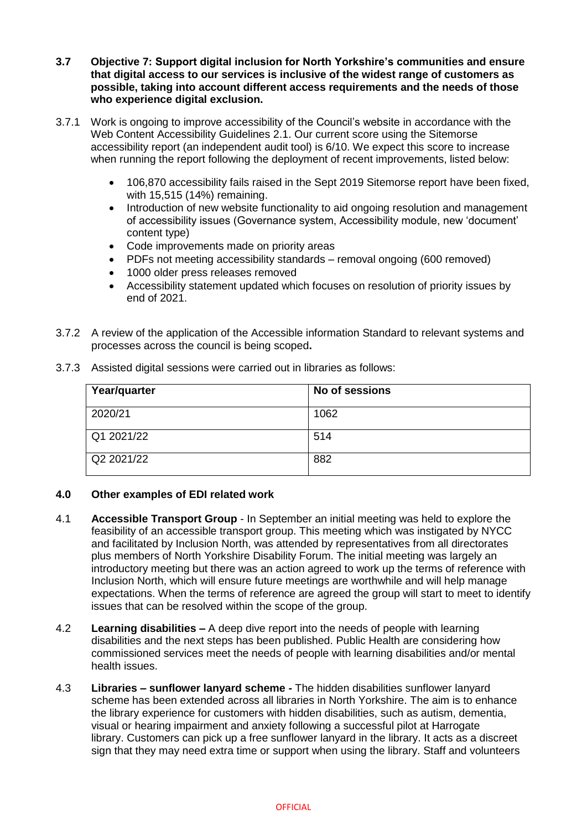- **3.7 Objective 7: Support digital inclusion for North Yorkshire's communities and ensure that digital access to our services is inclusive of the widest range of customers as possible, taking into account different access requirements and the needs of those who experience digital exclusion.**
- 3.7.1 Work is ongoing to improve accessibility of the Council's website in accordance with the Web Content Accessibility Guidelines 2.1. Our current score using the Sitemorse accessibility report (an independent audit tool) is 6/10. We expect this score to increase when running the report following the deployment of recent improvements, listed below:
	- 106,870 accessibility fails raised in the Sept 2019 Sitemorse report have been fixed, with 15,515 (14%) remaining.
	- Introduction of new website functionality to aid ongoing resolution and management of accessibility issues (Governance system, Accessibility module, new 'document' content type)
	- Code improvements made on priority areas
	- PDFs not meeting accessibility standards removal ongoing (600 removed)
	- 1000 older press releases removed
	- Accessibility statement updated which focuses on resolution of priority issues by end of 2021.
- 3.7.2 A review of the application of the Accessible information Standard to relevant systems and processes across the council is being scoped**.**

| Year/quarter | No of sessions |
|--------------|----------------|
| 2020/21      | 1062           |
| Q1 2021/22   | 514            |
| Q2 2021/22   | 882            |

3.7.3 Assisted digital sessions were carried out in libraries as follows:

## **4.0 Other examples of EDI related work**

- 4.1 **Accessible Transport Group** In September an initial meeting was held to explore the feasibility of an accessible transport group. This meeting which was instigated by NYCC and facilitated by Inclusion North, was attended by representatives from all directorates plus members of North Yorkshire Disability Forum. The initial meeting was largely an introductory meeting but there was an action agreed to work up the terms of reference with Inclusion North, which will ensure future meetings are worthwhile and will help manage expectations. When the terms of reference are agreed the group will start to meet to identify issues that can be resolved within the scope of the group.
- 4.2 **Learning disabilities –** A deep dive report into the needs of people with learning disabilities and the next steps has been published. Public Health are considering how commissioned services meet the needs of people with learning disabilities and/or mental health issues.
- 4.3 **Libraries – sunflower lanyard scheme -** The hidden disabilities sunflower lanyard scheme has been extended across all libraries in North Yorkshire. The aim is to enhance the library experience for customers with hidden disabilities, such as autism, dementia, visual or hearing impairment and anxiety following a successful pilot at Harrogate library. Customers can pick up a free sunflower lanyard in the library. It acts as a discreet sign that they may need extra time or support when using the library. Staff and volunteers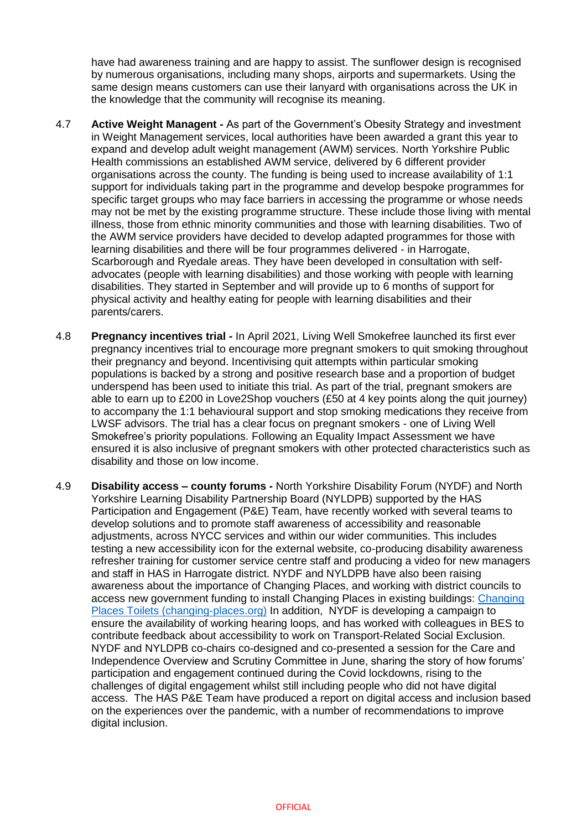have had awareness training and are happy to assist. The sunflower design is recognised by numerous organisations, including many shops, airports and supermarkets. Using the same design means customers can use their lanyard with organisations across the UK in the knowledge that the community will recognise its meaning.

- 4.7 **Active Weight Managent -** As part of the Government's Obesity Strategy and investment in Weight Management services, local authorities have been awarded a grant this year to expand and develop adult weight management (AWM) services. North Yorkshire Public Health commissions an established AWM service, delivered by 6 different provider organisations across the county. The funding is being used to increase availability of 1:1 support for individuals taking part in the programme and develop bespoke programmes for specific target groups who may face barriers in accessing the programme or whose needs may not be met by the existing programme structure. These include those living with mental illness, those from ethnic minority communities and those with learning disabilities. Two of the AWM service providers have decided to develop adapted programmes for those with learning disabilities and there will be four programmes delivered - in Harrogate, Scarborough and Ryedale areas. They have been developed in consultation with selfadvocates (people with learning disabilities) and those working with people with learning disabilities. They started in September and will provide up to 6 months of support for physical activity and healthy eating for people with learning disabilities and their parents/carers.
- 4.8 **Pregnancy incentives trial -** In April 2021, Living Well Smokefree launched its first ever pregnancy incentives trial to encourage more pregnant smokers to quit smoking throughout their pregnancy and beyond. Incentivising quit attempts within particular smoking populations is backed by a strong and positive research base and a proportion of budget underspend has been used to initiate this trial. As part of the trial, pregnant smokers are able to earn up to £200 in Love2Shop vouchers (£50 at 4 key points along the quit journey) to accompany the 1:1 behavioural support and stop smoking medications they receive from LWSF advisors. The trial has a clear focus on pregnant smokers - one of Living Well Smokefree's priority populations. Following an Equality Impact Assessment we have ensured it is also inclusive of pregnant smokers with other protected characteristics such as disability and those on low income.
- 4.9 **Disability access – county forums -** North Yorkshire Disability Forum (NYDF) and North Yorkshire Learning Disability Partnership Board (NYLDPB) supported by the HAS Participation and Engagement (P&E) Team, have recently worked with several teams to develop solutions and to promote staff awareness of accessibility and reasonable adjustments, across NYCC services and within our wider communities. This includes testing a new accessibility icon for the external website, co-producing disability awareness refresher training for customer service centre staff and producing a video for new managers and staff in HAS in Harrogate district. NYDF and NYLDPB have also been raising awareness about the importance of Changing Places, and working with district councils to access new government funding to install Changing Places in existing buildings: [Changing](https://www.changing-places.org/local-authority-funding/ps30-million-investment-to-provide-changing-places-toilets)  [Places Toilets \(changing-places.org\)](https://www.changing-places.org/local-authority-funding/ps30-million-investment-to-provide-changing-places-toilets) In addition, NYDF is developing a campaign to ensure the availability of working hearing loops, and has worked with colleagues in BES to contribute feedback about accessibility to work on Transport-Related Social Exclusion. NYDF and NYLDPB co-chairs co-designed and co-presented a session for the Care and Independence Overview and Scrutiny Committee in June, sharing the story of how forums' participation and engagement continued during the Covid lockdowns, rising to the challenges of digital engagement whilst still including people who did not have digital access. The HAS P&E Team have produced a report on digital access and inclusion based on the experiences over the pandemic, with a number of recommendations to improve digital inclusion.